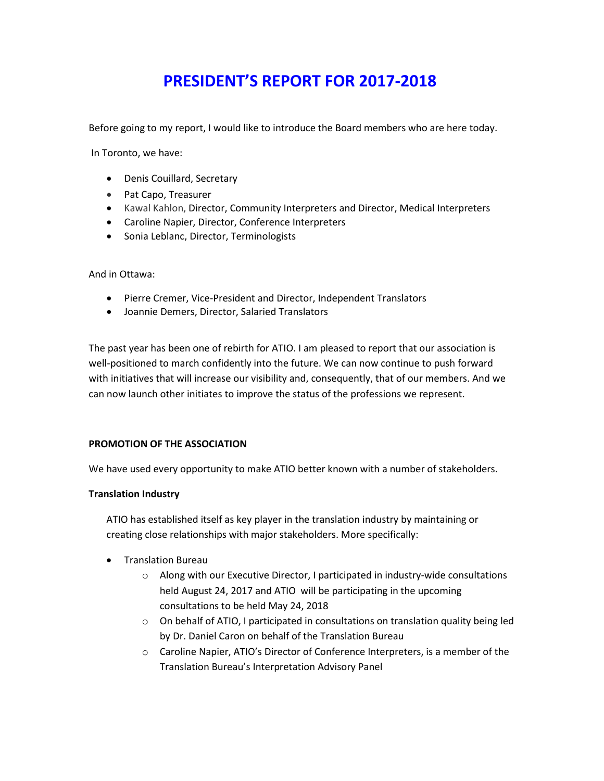## **PRESIDENT'S REPORT FOR 2017-2018**

Before going to my report, I would like to introduce the Board members who are here today.

In Toronto, we have:

- Denis Couillard, Secretary
- Pat Capo, Treasurer
- Kawal Kahlon, Director, Community Interpreters and Director, Medical Interpreters
- Caroline Napier, Director, Conference Interpreters
- Sonia Leblanc, Director, Terminologists

And in Ottawa:

- Pierre Cremer, Vice-President and Director, Independent Translators
- Joannie Demers, Director, Salaried Translators

The past year has been one of rebirth for ATIO. I am pleased to report that our association is well-positioned to march confidently into the future. We can now continue to push forward with initiatives that will increase our visibility and, consequently, that of our members. And we can now launch other initiates to improve the status of the professions we represent.

#### **PROMOTION OF THE ASSOCIATION**

We have used every opportunity to make ATIO better known with a number of stakeholders.

#### **Translation Industry**

ATIO has established itself as key player in the translation industry by maintaining or creating close relationships with major stakeholders. More specifically:

- Translation Bureau
	- o Along with our Executive Director, I participated in industry-wide consultations held August 24, 2017 and ATIO will be participating in the upcoming consultations to be held May 24, 2018
	- $\circ$  On behalf of ATIO, I participated in consultations on translation quality being led by Dr. Daniel Caron on behalf of the Translation Bureau
	- o Caroline Napier, ATIO's Director of Conference Interpreters, is a member of the Translation Bureau's Interpretation Advisory Panel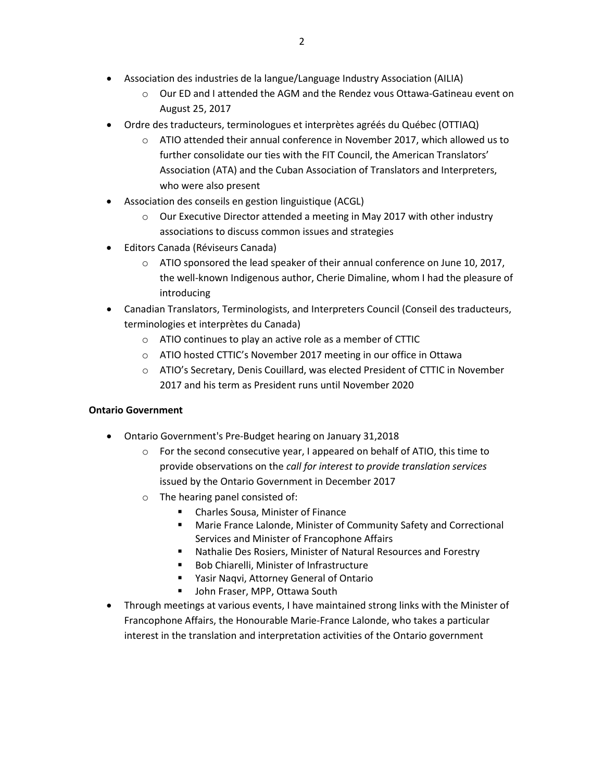- Association des industries de la langue/Language Industry Association (AILIA)
	- o Our ED and I attended the AGM and the Rendez vous Ottawa-Gatineau event on August 25, 2017
- Ordre des traducteurs, terminologues et interprètes agréés du Québec (OTTIAQ)
	- o ATIO attended their annual conference in November 2017, which allowed us to further consolidate our ties with the FIT Council, the American Translators' Association (ATA) and the Cuban Association of Translators and Interpreters, who were also present
- Association des conseils en gestion linguistique (ACGL)
	- o Our Executive Director attended a meeting in May 2017 with other industry associations to discuss common issues and strategies
- Editors Canada (Réviseurs Canada)
	- $\circ$  ATIO sponsored the lead speaker of their annual conference on June 10, 2017, the well-known Indigenous author, Cherie Dimaline, whom I had the pleasure of introducing
- Canadian Translators, Terminologists, and Interpreters Council (Conseil des traducteurs, terminologies et interprètes du Canada)
	- o ATIO continues to play an active role as a member of CTTIC
	- o ATIO hosted CTTIC's November 2017 meeting in our office in Ottawa
	- o ATIO's Secretary, Denis Couillard, was elected President of CTTIC in November 2017 and his term as President runs until November 2020

### **Ontario Government**

- Ontario Government's Pre-Budget hearing on January 31,2018
	- $\circ$  For the second consecutive year, I appeared on behalf of ATIO, this time to provide observations on the *call for interest to provide translation services* issued by the Ontario Government in December 2017
	- o The hearing panel consisted of:
		- Charles Sousa, Minister of Finance
		- **Marie France Lalonde, Minister of Community Safety and Correctional** Services and Minister of Francophone Affairs
		- Nathalie Des Rosiers, Minister of Natural Resources and Forestry
		- Bob Chiarelli, Minister of Infrastructure
		- Yasir Naqvi, Attorney General of Ontario
		- **John Fraser, MPP, Ottawa South**
- Through meetings at various events, I have maintained strong links with the Minister of Francophone Affairs, the Honourable Marie-France Lalonde, who takes a particular interest in the translation and interpretation activities of the Ontario government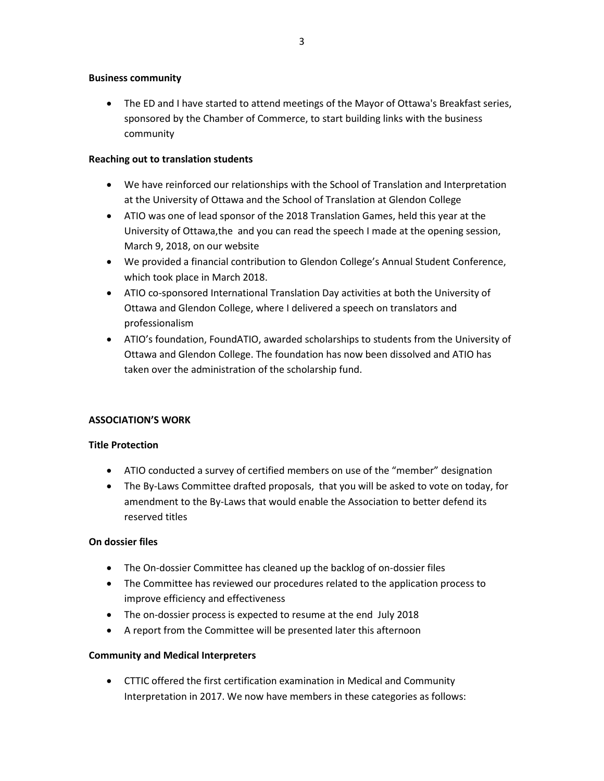#### **Business community**

• The ED and I have started to attend meetings of the Mayor of Ottawa's Breakfast series, sponsored by the Chamber of Commerce, to start building links with the business community

#### **Reaching out to translation students**

- We have reinforced our relationships with the School of Translation and Interpretation at the University of Ottawa and the School of Translation at Glendon College
- ATIO was one of lead sponsor of the 2018 Translation Games, held this year at the University of Ottawa,the and you can read the speech I made at the opening session, March 9, 2018, on our website
- We provided a financial contribution to Glendon College's Annual Student Conference, which took place in March 2018.
- ATIO co-sponsored International Translation Day activities at both the University of Ottawa and Glendon College, where I delivered a speech on translators and professionalism
- ATIO's foundation, FoundATIO, awarded scholarships to students from the University of Ottawa and Glendon College. The foundation has now been dissolved and ATIO has taken over the administration of the scholarship fund.

#### **ASSOCIATION'S WORK**

#### **Title Protection**

- ATIO conducted a survey of certified members on use of the "member" designation
- The By-Laws Committee drafted proposals, that you will be asked to vote on today, for amendment to the By-Laws that would enable the Association to better defend its reserved titles

#### **On dossier files**

- The On-dossier Committee has cleaned up the backlog of on-dossier files
- The Committee has reviewed our procedures related to the application process to improve efficiency and effectiveness
- The on-dossier process is expected to resume at the end July 2018
- A report from the Committee will be presented later this afternoon

#### **Community and Medical Interpreters**

• CTTIC offered the first certification examination in Medical and Community Interpretation in 2017. We now have members in these categories as follows: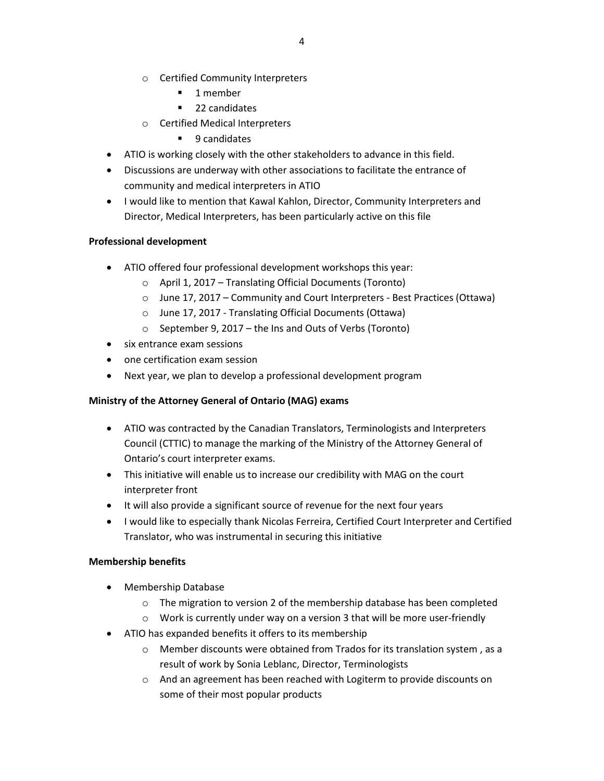- o Certified Community Interpreters
	- **1** member
	- 22 candidates
- o Certified Medical Interpreters
	- 9 candidates
- ATIO is working closely with the other stakeholders to advance in this field.
- Discussions are underway with other associations to facilitate the entrance of community and medical interpreters in ATIO
- I would like to mention that Kawal Kahlon, Director, Community Interpreters and Director, Medical Interpreters, has been particularly active on this file

#### **Professional development**

- ATIO offered four professional development workshops this year:
	- o April 1, 2017 Translating Official Documents (Toronto)
	- o June 17, 2017 Community and Court Interpreters Best Practices (Ottawa)
	- o June 17, 2017 Translating Official Documents (Ottawa)
	- o September 9, 2017 the Ins and Outs of Verbs (Toronto)
- six entrance exam sessions
- one certification exam session
- Next year, we plan to develop a professional development program

#### **Ministry of the Attorney General of Ontario (MAG) exams**

- ATIO was contracted by the Canadian Translators, Terminologists and Interpreters Council (CTTIC) to manage the marking of the Ministry of the Attorney General of Ontario's court interpreter exams.
- This initiative will enable us to increase our credibility with MAG on the court interpreter front
- It will also provide a significant source of revenue for the next four years
- I would like to especially thank Nicolas Ferreira, Certified Court Interpreter and Certified Translator, who was instrumental in securing this initiative

#### **Membership benefits**

- Membership Database
	- $\circ$  The migration to version 2 of the membership database has been completed
	- o Work is currently under way on a version 3 that will be more user-friendly
- ATIO has expanded benefits it offers to its membership
	- o Member discounts were obtained from Trados for its translation system , as a result of work by Sonia Leblanc, Director, Terminologists
	- $\circ$  And an agreement has been reached with Logiterm to provide discounts on some of their most popular products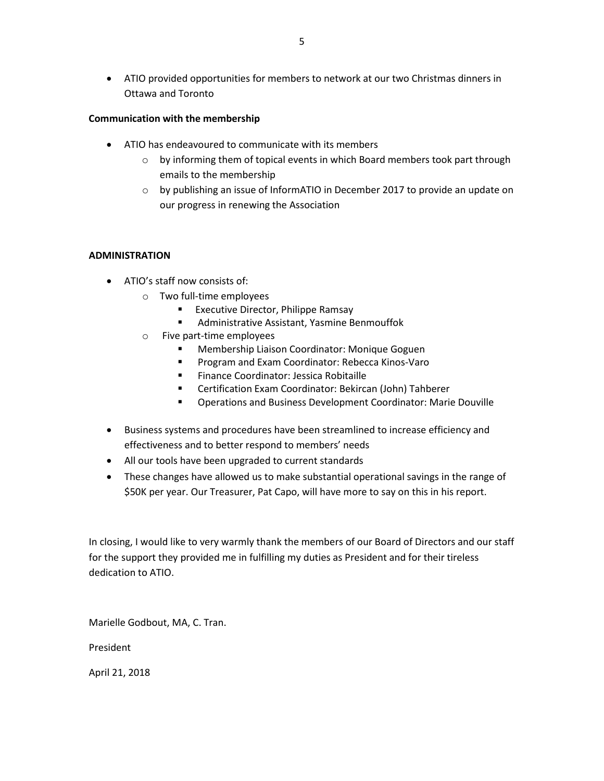• ATIO provided opportunities for members to network at our two Christmas dinners in Ottawa and Toronto

### **Communication with the membership**

- ATIO has endeavoured to communicate with its members
	- $\circ$  by informing them of topical events in which Board members took part through emails to the membership
	- o by publishing an issue of InformATIO in December 2017 to provide an update on our progress in renewing the Association

#### **ADMINISTRATION**

- ATIO's staff now consists of:
	- o Two full-time employees
		- **Executive Director, Philippe Ramsay**
		- Administrative Assistant, Yasmine Benmouffok
	- o Five part-time employees
		- Membership Liaison Coordinator: Monique Goguen
		- Program and Exam Coordinator: Rebecca Kinos-Varo
		- **Finance Coordinator: Jessica Robitaille**
		- Certification Exam Coordinator: Bekircan (John) Tahberer
		- Operations and Business Development Coordinator: Marie Douville
- Business systems and procedures have been streamlined to increase efficiency and effectiveness and to better respond to members' needs
- All our tools have been upgraded to current standards
- These changes have allowed us to make substantial operational savings in the range of \$50K per year. Our Treasurer, Pat Capo, will have more to say on this in his report.

In closing, I would like to very warmly thank the members of our Board of Directors and our staff for the support they provided me in fulfilling my duties as President and for their tireless dedication to ATIO.

Marielle Godbout, MA, C. Tran.

President

April 21, 2018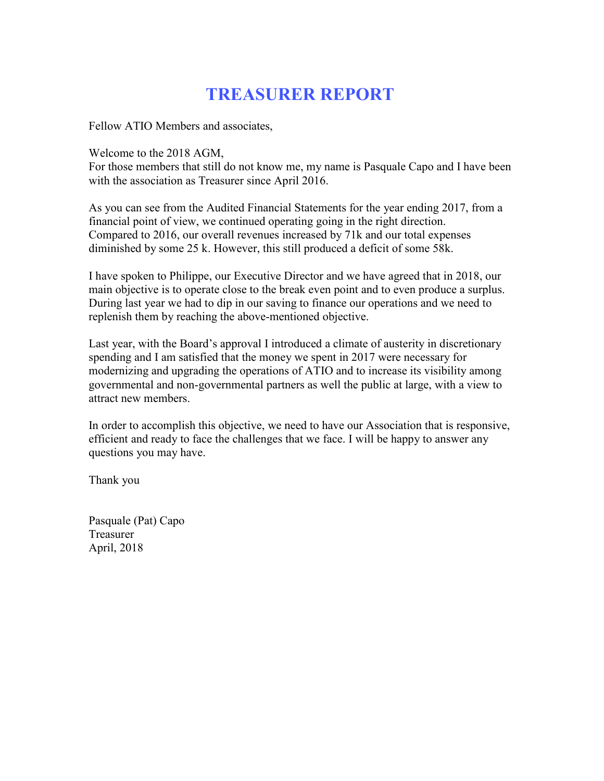# **TREASURER REPORT**

Fellow ATIO Members and associates,

Welcome to the 2018 AGM,

For those members that still do not know me, my name is Pasquale Capo and I have been with the association as Treasurer since April 2016.

As you can see from the Audited Financial Statements for the year ending 2017, from a financial point of view, we continued operating going in the right direction. Compared to 2016, our overall revenues increased by 71k and our total expenses diminished by some 25 k. However, this still produced a deficit of some 58k.

I have spoken to Philippe, our Executive Director and we have agreed that in 2018, our main objective is to operate close to the break even point and to even produce a surplus. During last year we had to dip in our saving to finance our operations and we need to replenish them by reaching the above-mentioned objective.

Last year, with the Board's approval I introduced a climate of austerity in discretionary spending and I am satisfied that the money we spent in 2017 were necessary for modernizing and upgrading the operations of ATIO and to increase its visibility among governmental and non-governmental partners as well the public at large, with a view to attract new members.

In order to accomplish this objective, we need to have our Association that is responsive, efficient and ready to face the challenges that we face. I will be happy to answer any questions you may have.

Thank you

Pasquale (Pat) Capo Treasurer April, 2018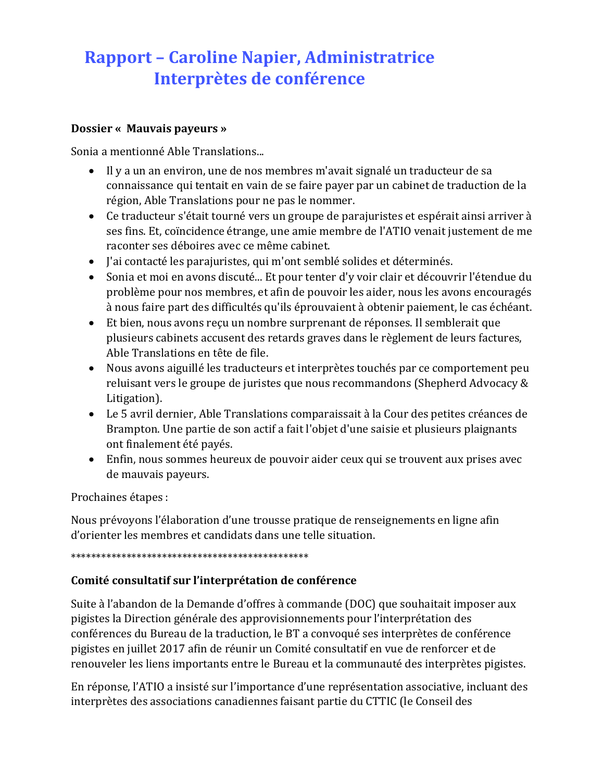# **Rapport – Caroline Napier, Administratrice Interprètes de conférence**

### **Dossier « Mauvais payeurs »**

Sonia a mentionné Able Translations...

- Il y a un an environ, une de nos membres m'avait signalé un traducteur de sa connaissance qui tentait en vain de se faire payer par un cabinet de traduction de la région, Able Translations pour ne pas le nommer.
- Ce traducteur s'était tourné vers un groupe de parajuristes et espérait ainsi arriver à ses fins. Et, coïncidence étrange, une amie membre de l'ATIO venait justement de me raconter ses déboires avec ce même cabinet.
- J'ai contacté les parajuristes, qui m'ont semblé solides et déterminés.
- Sonia et moi en avons discuté... Et pour tenter d'y voir clair et découvrir l'étendue du problème pour nos membres, et afin de pouvoir les aider, nous les avons encouragés à nous faire part des difficultés qu'ils éprouvaient à obtenir paiement, le cas échéant.
- Et bien, nous avons reçu un nombre surprenant de réponses. Il semblerait que plusieurs cabinets accusent des retards graves dans le règlement de leurs factures, Able Translations en tête de file.
- Nous avons aiguillé les traducteurs et interprètes touchés par ce comportement peu reluisant vers le groupe de juristes que nous recommandons (Shepherd Advocacy & Litigation).
- Le 5 avril dernier, Able Translations comparaissait à la Cour des petites créances de Brampton. Une partie de son actif a fait l'objet d'une saisie et plusieurs plaignants ont finalement été payés.
- Enfin, nous sommes heureux de pouvoir aider ceux qui se trouvent aux prises avec de mauvais payeurs.

Prochaines étapes :

Nous prévoyons l'élaboration d'une trousse pratique de renseignements en ligne afin d'orienter les membres et candidats dans une telle situation.

### \*\*\*\*\*\*\*\*\*\*\*\*\*\*\*\*\*\*\*\*\*\*\*\*\*\*\*\*\*\*\*\*\*\*\*\*\*\*\*\*\*\*\*\*\*\*\*

## **Comité consultatif sur l'interprétation de conférence**

Suite à l'abandon de la Demande d'offres à commande (DOC) que souhaitait imposer aux pigistes la Direction générale des approvisionnements pour l'interprétation des conférences du Bureau de la traduction, le BT a convoqué ses interprètes de conférence pigistes en juillet 2017 afin de réunir un Comité consultatif en vue de renforcer et de renouveler les liens importants entre le Bureau et la communauté des interprètes pigistes.

En réponse, l'ATIO a insisté sur l'importance d'une représentation associative, incluant des interprètes des associations canadiennes faisant partie du CTTIC (le Conseil des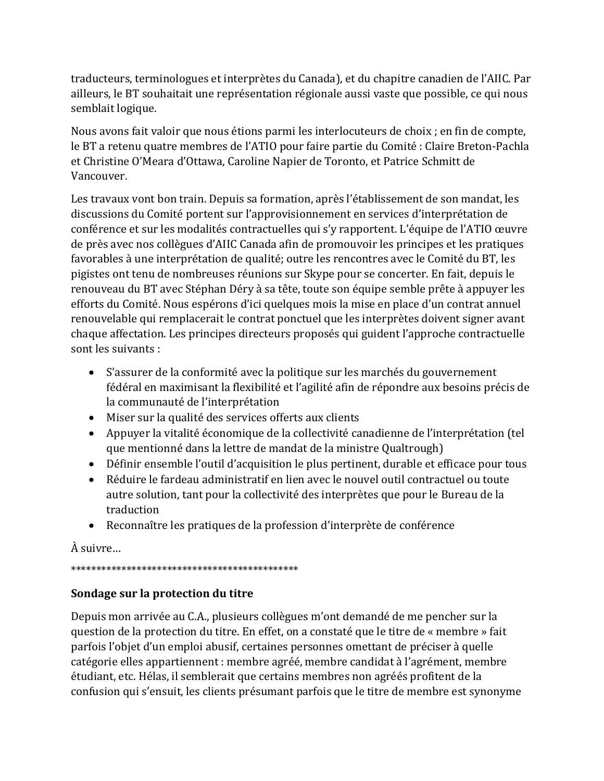traducteurs, terminologues et interprètes du Canada), et du chapitre canadien de l'AIIC. Par ailleurs, le BT souhaitait une représentation régionale aussi vaste que possible, ce qui nous semblait logique.

Nous avons fait valoir que nous étions parmi les interlocuteurs de choix ; en fin de compte, le BT a retenu quatre membres de l'ATIO pour faire partie du Comité : Claire Breton-Pachla et Christine O'Meara d'Ottawa, Caroline Napier de Toronto, et Patrice Schmitt de Vancouver.

Les travaux vont bon train. Depuis sa formation, après l'établissement de son mandat, les discussions du Comité portent sur l'approvisionnement en services d'interprétation de conférence et sur les modalités contractuelles qui s'y rapportent. L'équipe de l'ATIO œuvre de près avec nos collègues d'AIIC Canada afin de promouvoir les principes et les pratiques favorables à une interprétation de qualité; outre les rencontres avec le Comité du BT, les pigistes ont tenu de nombreuses réunions sur Skype pour se concerter. En fait, depuis le renouveau du BT avec Stéphan Déry à sa tête, toute son équipe semble prête à appuyer les efforts du Comité. Nous espérons d'ici quelques mois la mise en place d'un contrat annuel renouvelable qui remplacerait le contrat ponctuel que les interprètes doivent signer avant chaque affectation. Les principes directeurs proposés qui guident l'approche contractuelle sont les suivants :

- S'assurer de la conformité avec la politique sur les marchés du gouvernement fédéral en maximisant la flexibilité et l'agilité afin de répondre aux besoins précis de la communauté de l'interprétation
- Miser sur la qualité des services offerts aux clients
- Appuyer la vitalité économique de la collectivité canadienne de l'interprétation (tel que mentionné dans la lettre de mandat de la ministre Qualtrough)
- Définir ensemble l'outil d'acquisition le plus pertinent, durable et efficace pour tous
- Réduire le fardeau administratif en lien avec le nouvel outil contractuel ou toute autre solution, tant pour la collectivité des interprètes que pour le Bureau de la traduction
- Reconnaître les pratiques de la profession d'interprète de conférence

À suivre…

## \*\*\*\*\*\*\*\*\*\*\*\*\*\*\*\*\*\*\*\*\*\*\*\*\*\*\*\*\*\*\*\*\*\*\*\*\*\*\*\*\*\*\*\*\*

## **Sondage sur la protection du titre**

Depuis mon arrivée au C.A., plusieurs collègues m'ont demandé de me pencher sur la question de la protection du titre. En effet, on a constaté que le titre de « membre » fait parfois l'objet d'un emploi abusif, certaines personnes omettant de préciser à quelle catégorie elles appartiennent : membre agréé, membre candidat à l'agrément, membre étudiant, etc. Hélas, il semblerait que certains membres non agréés profitent de la confusion qui s'ensuit, les clients présumant parfois que le titre de membre est synonyme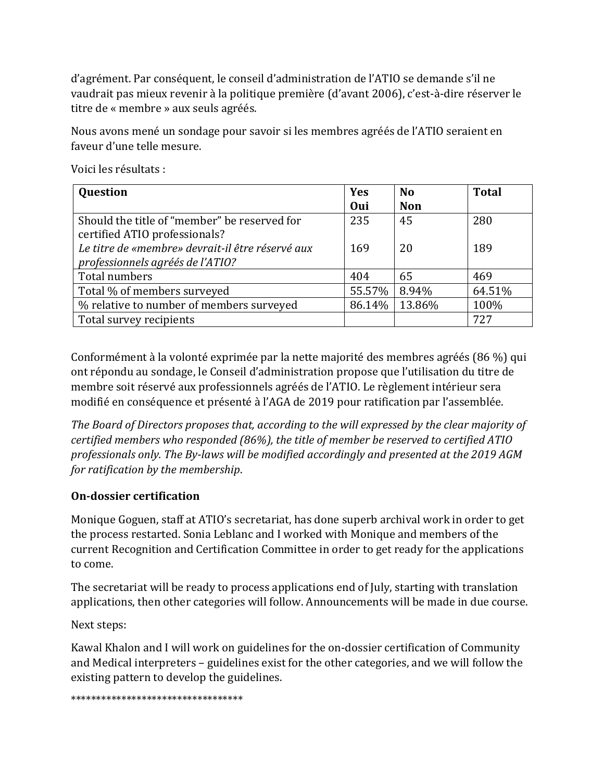d'agrément. Par conséquent, le conseil d'administration de l'ATIO se demande s'il ne vaudrait pas mieux revenir à la politique première (d'avant 2006), c'est-à-dire réserver le titre de « membre » aux seuls agréés.

Nous avons mené un sondage pour savoir si les membres agréés de l'ATIO seraient en faveur d'une telle mesure.

| Question                                         | <b>Yes</b> | <b>No</b>  | <b>Total</b> |
|--------------------------------------------------|------------|------------|--------------|
|                                                  | Oui        | <b>Non</b> |              |
| Should the title of "member" be reserved for     | 235        | 45         | 280          |
| certified ATIO professionals?                    |            |            |              |
| Le titre de «membre» devrait-il être réservé aux | 169        | 20         | 189          |
| professionnels agréés de l'ATIO?                 |            |            |              |
| Total numbers                                    | 404        | 65         | 469          |
| Total % of members surveyed                      | 55.57%     | 8.94%      | 64.51%       |
| % relative to number of members surveyed         | 86.14%     | 13.86%     | 100%         |
| Total survey recipients                          |            |            | 727          |

Voici les résultats :

Conformément à la volonté exprimée par la nette majorité des membres agréés (86 %) qui ont répondu au sondage, le Conseil d'administration propose que l'utilisation du titre de membre soit réservé aux professionnels agréés de l'ATIO. Le règlement intérieur sera modifié en conséquence et présenté à l'AGA de 2019 pour ratification par l'assemblée.

*The Board of Directors proposes that, according to the will expressed by the clear majority of certified members who responded (86%), the title of member be reserved to certified ATIO professionals only. The By-laws will be modified accordingly and presented at the 2019 AGM for ratification by the membership*.

## **On-dossier certification**

Monique Goguen, staff at ATIO's secretariat, has done superb archival work in order to get the process restarted. Sonia Leblanc and I worked with Monique and members of the current Recognition and Certification Committee in order to get ready for the applications to come.

The secretariat will be ready to process applications end of July, starting with translation applications, then other categories will follow. Announcements will be made in due course.

Next steps:

Kawal Khalon and I will work on guidelines for the on-dossier certification of Community and Medical interpreters – guidelines exist for the other categories, and we will follow the existing pattern to develop the guidelines.

\*\*\*\*\*\*\*\*\*\*\*\*\*\*\*\*\*\*\*\*\*\*\*\*\*\*\*\*\*\*\*\*\*\*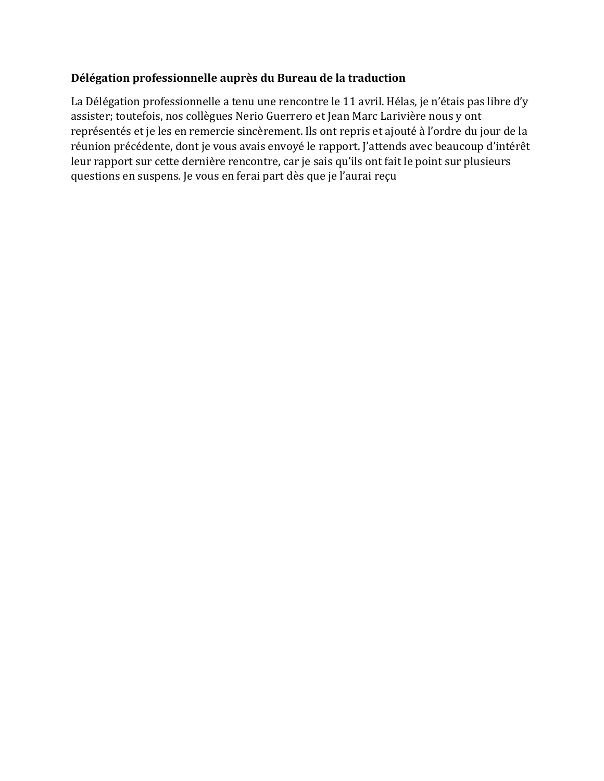## **Délégation professionnelle auprès du Bureau de la traduction**

La Délégation professionnelle a tenu une rencontre le 11 avril. Hélas, je n'étais pas libre d'y assister; toutefois, nos collègues Nerio Guerrero et Jean Marc Larivière nous y ont représentés et je les en remercie sincèrement. Ils ont repris et ajouté à l'ordre du jour de la réunion précédente, dont je vous avais envoyé le rapport. J'attends avec beaucoup d'intérêt leur rapport sur cette dernière rencontre, car je sais qu'ils ont fait le point sur plusieurs questions en suspens. Je vous en ferai part dès que je l'aurai reçu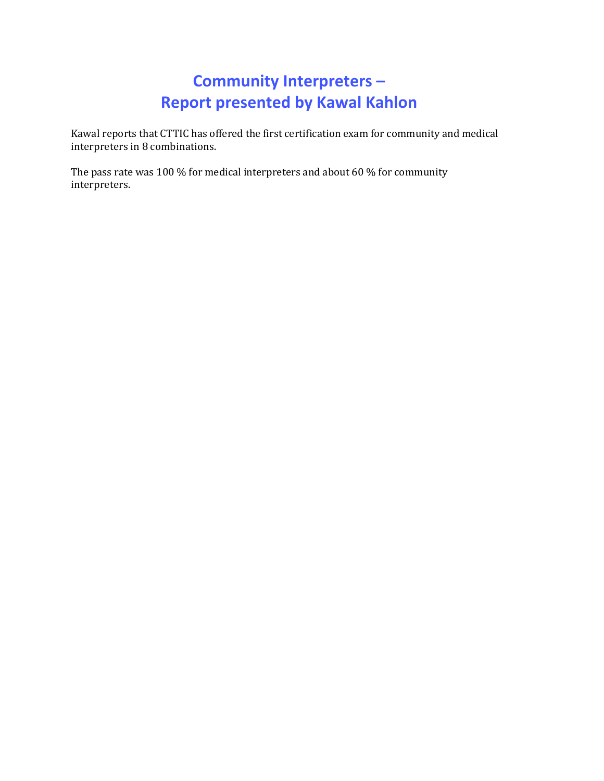# **Community Interpreters – Report presented by Kawal Kahlon**

Kawal reports that CTTIC has offered the first certification exam for community and medical interpreters in 8 combinations.

The pass rate was 100 % for medical interpreters and about 60 % for community interpreters.